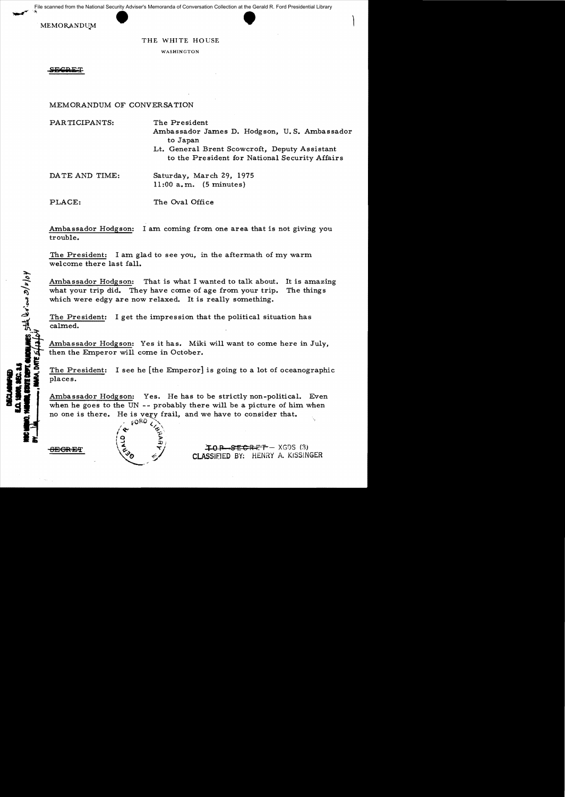e scanned from the National Security Adviser's Memoranda of Conversation Collection at the Gerald F<br>MEMORANDUM<br>THE WHITE HOUSE File scanned from the National Security Adviser's Memoranda of Conversation Collection at the Gerald R. Ford Presidential Library

## THE WHITE HOUSE

WASHINGTON

MEMORANDUM OF CONVERSATION

PARTICIPANTS: The President

Ambassador James D. Hodgson, U. S. Ambassador to Japan

Lt. General Brent Scowcroft, Deputy Assistant to the President for National Security Affairs

DATE AND TIME: Saturday, March 29, 1975 11:00 a.m. (5 minutes)

PLACE: The Oval Office

Ambassador Hodgson: I am coming from one area that is not giving you trouble.

The President: I am glad to see you, in the aftermath of my warm welcome there last fall.

Ambassador Hodgson: That is what I wanted to talk about. It is amazing what your trip did. They have come of age from your trip. The things which were edgy are now relaxed. It is really something.

The President: I get the impression that the political situation has calmed.

Ambassador Hodgson: Yes it has. Miki will want to come here in July, then the Emperor will come in October.

The President: I see he [the Emperor] is going to a lot of oceanographic places.

Ambassador Hodgson: Yes. He has to be strictly non-political. Even when he goes to the UN -- probably there will be a picture of him when no one is there. He is very frail, and we have to consider that.  $60RQ$ 

 $\sqrt{2}$ 

 $\frac{1}{2}$  still be  $\frac{1}{2}$  as  $\frac{1}{2}$   $\frac{1}{2}$ 

Ž

 $\overline{P}$ **EGRET**  $\begin{pmatrix} 6 & 7 \end{pmatrix}$  **TOP-SECRET** - XGDS (3) CLASSIFIED BY: HENRY A. KISSINGER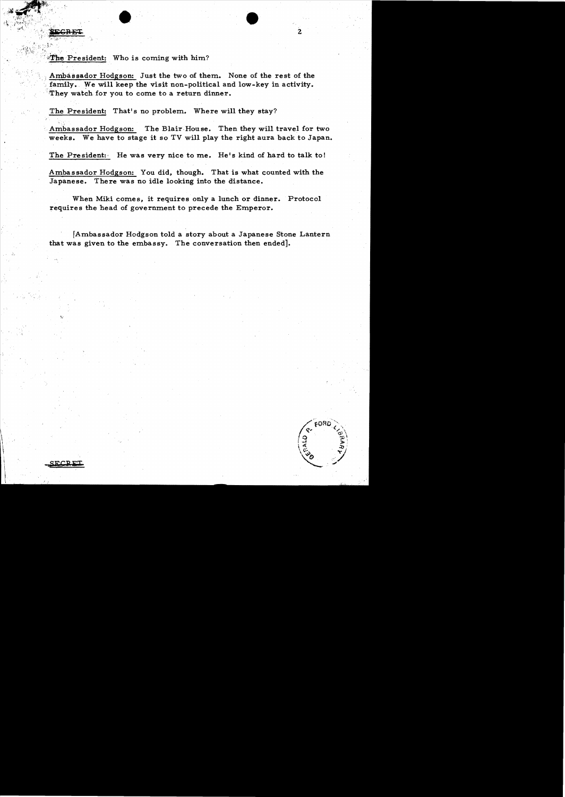The President: Who is coming with him?

Ambassador Hodgson: Just the two of them. None of the rest of the family. We will keep the visit non-political and low-key in activity. They watch for you to come to a return dinner.

 $\bullet$   $\bullet$   $\bullet$   $\bullet$ 

## The President: That's no problem. Where will they stay?

Ambassador Hodgson: The Blair House. Then they will travel for two weeks. We have to stage it so TV will play the right aura back to Japan.

The President: He was very nice to me. He's kind of hard to talk to!

Amba s sador Hodgson: You did, though. That is what counted with the Japanese. There was no idle looking into the distance.

When Miki comes, it requires only a lunch or dinner. Protocol requires the head of government to precede the Emperor.

[Ambassador Hodgson told a story about a Japanese Stone Lantern that was given to the embassy. The conversation then ended].